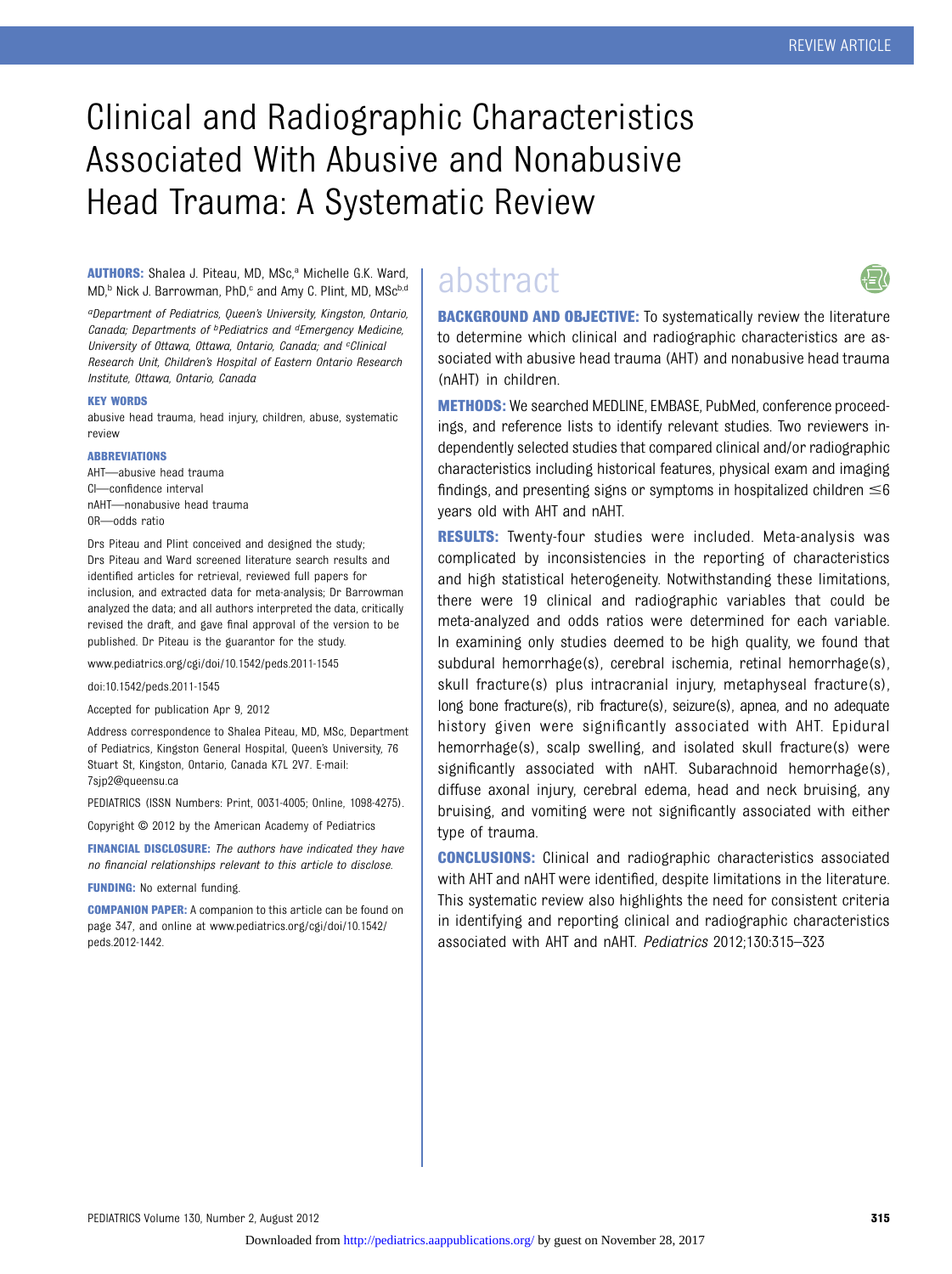## Clinical and Radiographic Characteristics Associated With Abusive and Nonabusive Head Trauma: A Systematic Review

#### AUTHORS: Shalea J. Piteau, MD, MSc,<sup>a</sup> Michelle G.K. Ward, MD,<sup>b</sup> Nick J. Barrowman, PhD,<sup>c</sup> and Amy C. Plint, MD, MSc<sup>b,d</sup>

aDepartment of Pediatrics, Queen's University, Kingston, Ontario, Canada; Departments of <sup>b</sup>Pediatrics and <sup>d</sup>Emergency Medicine, University of Ottawa, Ottawa, Ontario, Canada; and cClinical Research Unit, Children's Hospital of Eastern Ontario Research Institute, Ottawa, Ontario, Canada

#### KEY WORDS

abusive head trauma, head injury, children, abuse, systematic review

#### ABBREVIATIONS

AHT—abusive head trauma CI—confidence interval nAHT—nonabusive head trauma OR—odds ratio

Drs Piteau and Plint conceived and designed the study; Drs Piteau and Ward screened literature search results and identified articles for retrieval, reviewed full papers for inclusion, and extracted data for meta-analysis; Dr Barrowman analyzed the data; and all authors interpreted the data, critically revised the draft, and gave final approval of the version to be published. Dr Piteau is the guarantor for the study.

www.pediatrics.org/cgi/doi/10.1542/peds.2011-1545

doi:10.1542/peds.2011-1545

Accepted for publication Apr 9, 2012

Address correspondence to Shalea Piteau, MD, MSc, Department of Pediatrics, Kingston General Hospital, Queen's University, 76 Stuart St, Kingston, Ontario, Canada K7L 2V7. E-mail: [7sjp2@queensu.ca](mailto:7sjp2@queensu.ca)

PEDIATRICS (ISSN Numbers: Print, 0031-4005; Online, 1098-4275).

Copyright © 2012 by the American Academy of Pediatrics

FINANCIAL DISCLOSURE: The authors have indicated they have no financial relationships relevant to this article to disclose.

FUNDING: No external funding.

COMPANION PAPER: A companion to this article can be found on page 347, and online at [www.pediatrics.org/cgi/doi/10.1542/](http://www.pediatrics.org/cgi/doi/10.1542/peds.2012-1442) [peds.2012-1442](http://www.pediatrics.org/cgi/doi/10.1542/peds.2012-1442).

### abstract



**BACKGROUND AND OBJECTIVE:** To systematically review the literature to determine which clinical and radiographic characteristics are associated with abusive head trauma (AHT) and nonabusive head trauma (nAHT) in children.

METHODS: We searched MEDLINE, EMBASE, PubMed, conference proceedings, and reference lists to identify relevant studies. Two reviewers independently selected studies that compared clinical and/or radiographic characteristics including historical features, physical exam and imaging findings, and presenting signs or symptoms in hospitalized children  $\leq 6$ years old with AHT and nAHT.

RESULTS: Twenty-four studies were included. Meta-analysis was complicated by inconsistencies in the reporting of characteristics and high statistical heterogeneity. Notwithstanding these limitations, there were 19 clinical and radiographic variables that could be meta-analyzed and odds ratios were determined for each variable. In examining only studies deemed to be high quality, we found that subdural hemorrhage(s), cerebral ischemia, retinal hemorrhage(s), skull fracture(s) plus intracranial injury, metaphyseal fracture(s), long bone fracture(s), rib fracture(s), seizure(s), apnea, and no adequate history given were significantly associated with AHT. Epidural hemorrhage(s), scalp swelling, and isolated skull fracture(s) were significantly associated with nAHT. Subarachnoid hemorrhage(s), diffuse axonal injury, cerebral edema, head and neck bruising, any bruising, and vomiting were not significantly associated with either type of trauma.

CONCLUSIONS: Clinical and radiographic characteristics associated with AHT and nAHT were identified, despite limitations in the literature. This systematic review also highlights the need for consistent criteria in identifying and reporting clinical and radiographic characteristics associated with AHT and nAHT. Pediatrics 2012;130:315–323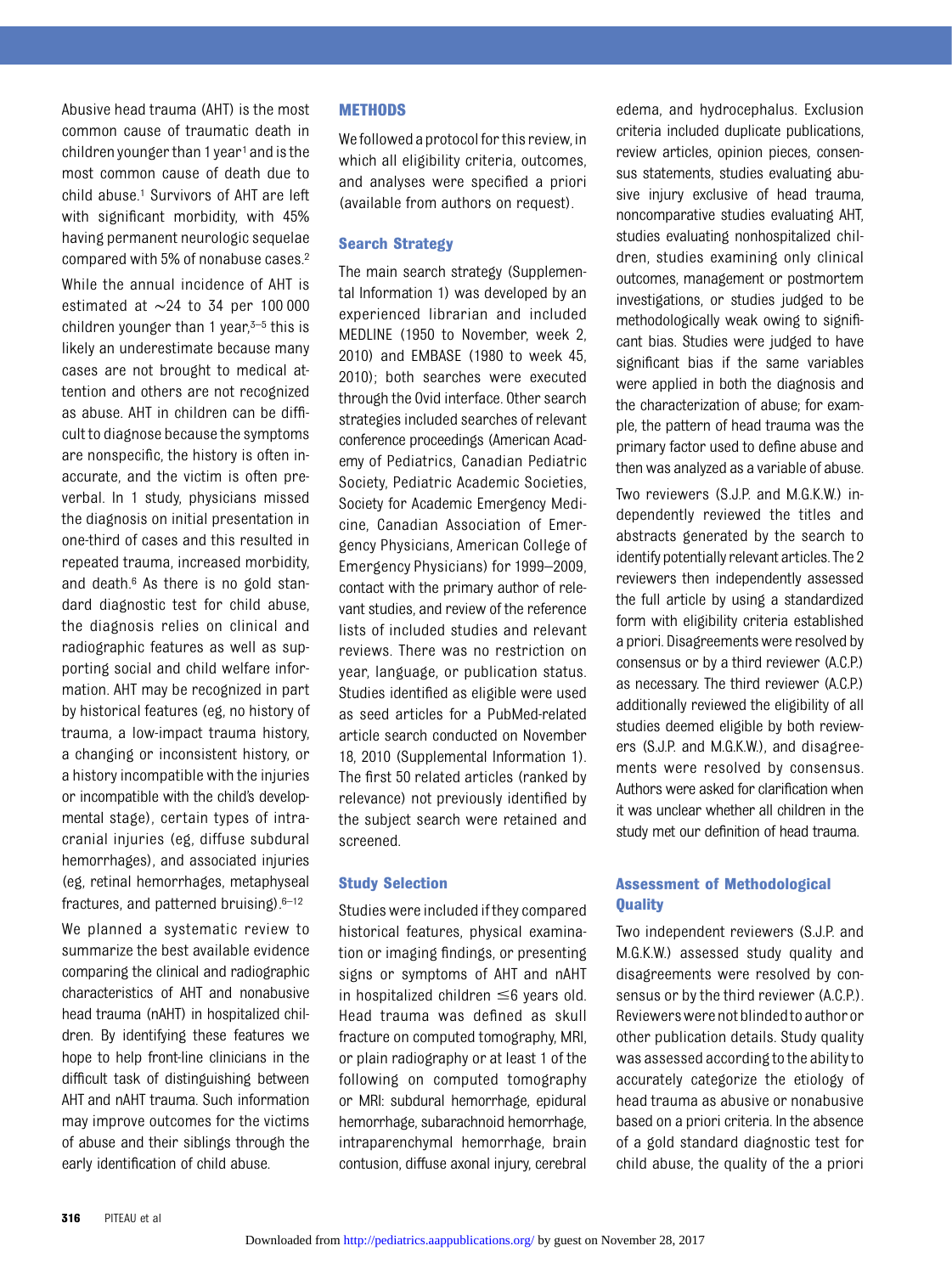Abusive head trauma (AHT) is the most common cause of traumatic death in children younger than 1 year<sup>1</sup> and is the most common cause of death due to child abuse.<sup>1</sup> Survivors of AHT are left with significant morbidity, with 45% having permanent neurologic sequelae compared with 5% of nonabuse cases.2

While the annual incidence of AHT is estimated at ∼24 to 34 per 100 000 children younger than 1 year, $3-5$  this is likely an underestimate because many cases are not brought to medical attention and others are not recognized as abuse. AHT in children can be difficult to diagnose because the symptoms are nonspecific, the history is often inaccurate, and the victim is often preverbal. In 1 study, physicians missed the diagnosis on initial presentation in one-third of cases and this resulted in repeated trauma, increased morbidity, and death.6 As there is no gold standard diagnostic test for child abuse, the diagnosis relies on clinical and radiographic features as well as supporting social and child welfare information. AHT may be recognized in part by historical features (eg, no history of trauma, a low-impact trauma history, a changing or inconsistent history, or a history incompatible with the injuries or incompatible with the child's developmental stage), certain types of intracranial injuries (eg, diffuse subdural hemorrhages), and associated injuries (eg, retinal hemorrhages, metaphyseal fractures, and patterned bruising). $6-12$ 

We planned a systematic review to summarize the best available evidence comparing the clinical and radiographic characteristics of AHT and nonabusive head trauma (nAHT) in hospitalized children. By identifying these features we hope to help front-line clinicians in the difficult task of distinguishing between AHT and nAHT trauma. Such information may improve outcomes for the victims of abuse and their siblings through the early identification of child abuse.

#### **METHODS**

We followed a protocol for this review, in which all eligibility criteria, outcomes, and analyses were specified a priori (available from authors on request).

#### Search Strategy

The main search strategy [\(Supplemen](http://pediatrics.aappublications.org/lookup/suppl/doi:10.1542/peds.2011-1545/-/DCSupplemental)[tal Information 1](http://pediatrics.aappublications.org/lookup/suppl/doi:10.1542/peds.2011-1545/-/DCSupplemental)) was developed by an experienced librarian and included MEDLINE (1950 to November, week 2, 2010) and EMBASE (1980 to week 45, 2010); both searches were executed through the Ovid interface. Other search strategies included searches of relevant conference proceedings (American Academy of Pediatrics, Canadian Pediatric Society, Pediatric Academic Societies, Society for Academic Emergency Medicine, Canadian Association of Emergency Physicians, American College of Emergency Physicians) for 1999–2009, contact with the primary author of relevant studies, and review of the reference lists of included studies and relevant reviews. There was no restriction on year, language, or publication status. Studies identified as eligible were used as seed articles for a PubMed-related article search conducted on November 18, 2010 [\(Supplemental Information 1](http://pediatrics.aappublications.org/lookup/suppl/doi:10.1542/peds.2011-1545/-/DCSupplemental)). The first 50 related articles (ranked by relevance) not previously identified by the subject search were retained and screened.

#### Study Selection

Studies were included if they compared historical features, physical examination or imaging findings, or presenting signs or symptoms of AHT and nAHT in hospitalized children  $\leq$ 6 years old. Head trauma was defined as skull fracture on computed tomography, MRI, or plain radiography or at least 1 of the following on computed tomography or MRI: subdural hemorrhage, epidural hemorrhage, subarachnoid hemorrhage, intraparenchymal hemorrhage, brain contusion, diffuse axonal injury, cerebral

edema, and hydrocephalus. Exclusion criteria included duplicate publications, review articles, opinion pieces, consensus statements, studies evaluating abusive injury exclusive of head trauma, noncomparative studies evaluating AHT, studies evaluating nonhospitalized children, studies examining only clinical outcomes, management or postmortem investigations, or studies judged to be methodologically weak owing to significant bias. Studies were judged to have significant bias if the same variables were applied in both the diagnosis and the characterization of abuse; for example, the pattern of head trauma was the primary factor used to define abuse and then was analyzed as a variable of abuse.

Two reviewers (S.J.P. and M.G.K.W.) independently reviewed the titles and abstracts generated by the search to identify potentially relevant articles. The 2 reviewers then independently assessed the full article by using a standardized form with eligibility criteria established a priori. Disagreements were resolved by consensus or by a third reviewer (A.C.P.) as necessary. The third reviewer (A.C.P.) additionally reviewed the eligibility of all studies deemed eligible by both reviewers (S.J.P. and M.G.K.W.), and disagreements were resolved by consensus. Authors were asked for clarification when it was unclear whether all children in the study met our definition of head trauma.

#### Assessment of Methodological **Quality**

Two independent reviewers (S.J.P. and M.G.K.W.) assessed study quality and disagreements were resolved by consensus or by the third reviewer (A.C.P.). Reviewerswerenotblindedto authoror other publication details. Study quality was assessed according to the ability to accurately categorize the etiology of head trauma as abusive or nonabusive based on a priori criteria. In the absence of a gold standard diagnostic test for child abuse, the quality of the a priori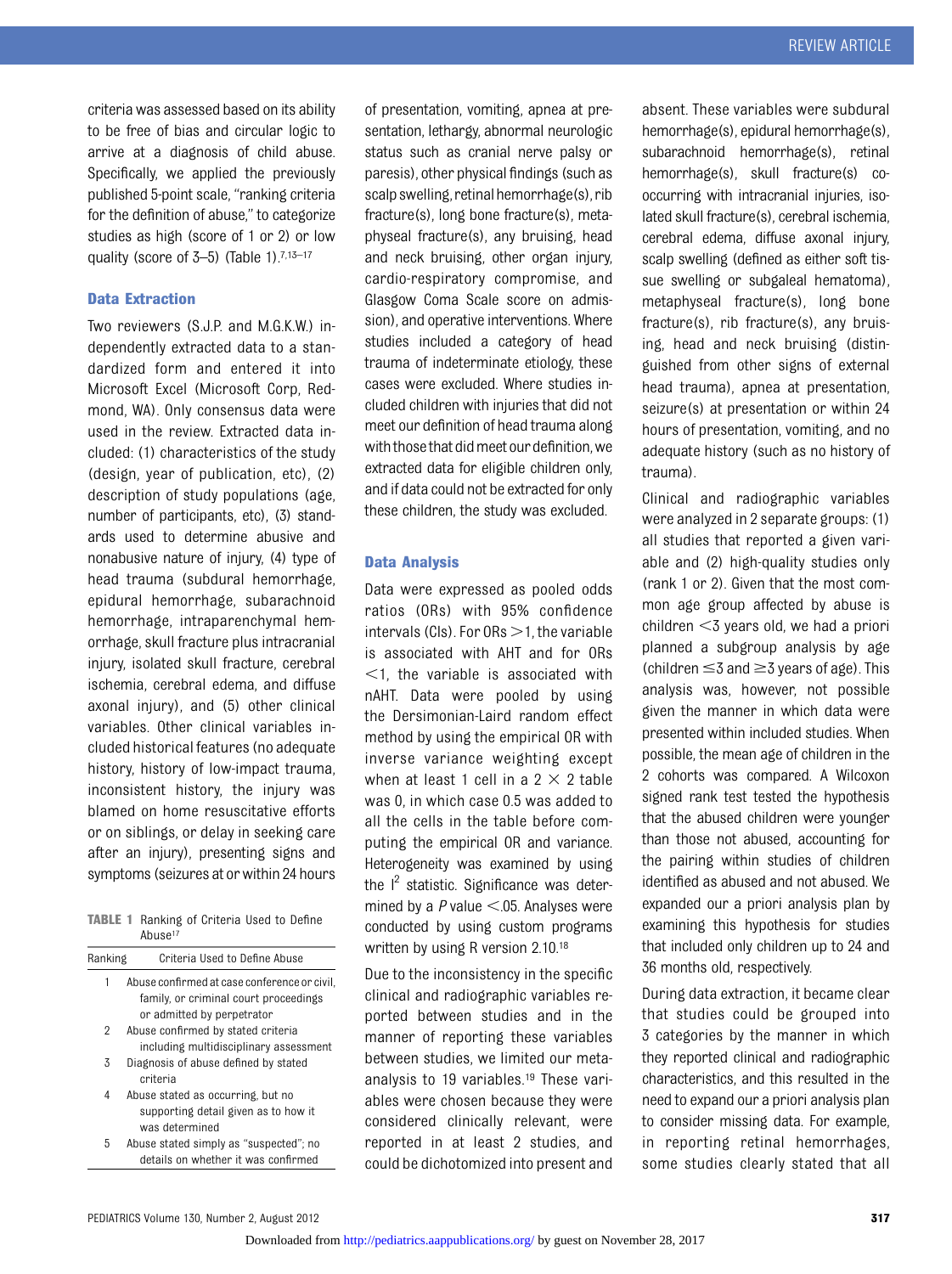criteria was assessed based on its ability to be free of bias and circular logic to arrive at a diagnosis of child abuse. Specifically, we applied the previously published 5-point scale, "ranking criteria for the definition of abuse," to categorize studies as high (score of 1 or 2) or low quality (score of  $3-5$ ) (Table 1).<sup>7,13-17</sup>

#### Data Extraction

Two reviewers (S.J.P. and M.G.K.W.) independently extracted data to a standardized form and entered it into Microsoft Excel (Microsoft Corp, Redmond, WA). Only consensus data were used in the review. Extracted data included: (1) characteristics of the study (design, year of publication, etc), (2) description of study populations (age, number of participants, etc), (3) standards used to determine abusive and nonabusive nature of injury, (4) type of head trauma (subdural hemorrhage, epidural hemorrhage, subarachnoid hemorrhage, intraparenchymal hemorrhage, skull fracture plus intracranial injury, isolated skull fracture, cerebral ischemia, cerebral edema, and diffuse axonal injury), and (5) other clinical variables. Other clinical variables included historical features (no adequate history, history of low-impact trauma, inconsistent history, the injury was blamed on home resuscitative efforts or on siblings, or delay in seeking care after an injury), presenting signs and symptoms (seizures at or within 24 hours

| <b>TABLE 1</b> Ranking of Criteria Used to Define |                     |  |  |  |
|---------------------------------------------------|---------------------|--|--|--|
|                                                   | Abuse <sup>17</sup> |  |  |  |

| Ranking | Criteria Used to Define Abuse                |
|---------|----------------------------------------------|
| 1       | Abuse confirmed at case conference or civil. |
|         | family, or criminal court proceedings        |
|         | or admitted by perpetrator                   |
| 2       | Abuse confirmed by stated criteria           |
|         | including multidisciplinary assessment       |
| 3       | Diagnosis of abuse defined by stated         |
|         | criteria                                     |
| 4       | Abuse stated as occurring, but no            |
|         | supporting detail given as to how it         |
|         | was determined                               |
| 5       | Abuse stated simply as "suspected"; no       |

details on whether it was confirmed

of presentation, vomiting, apnea at presentation, lethargy, abnormal neurologic status such as cranial nerve palsy or paresis), other physical findings (such as scalp swelling, retinal hemorrhage(s), rib fracture(s), long bone fracture(s), metaphyseal fracture(s), any bruising, head and neck bruising, other organ injury, cardio-respiratory compromise, and Glasgow Coma Scale score on admission), and operative interventions. Where studies included a category of head trauma of indeterminate etiology, these cases were excluded. Where studies included children with injuries that did not meet our definition of head trauma along with those that did meet our definition, we extracted data for eligible children only, and if data could not be extracted for only these children, the study was excluded.

#### Data Analysis

Data were expressed as pooled odds ratios (ORs) with 95% confidence intervals (CIs). For  $ORs > 1$ , the variable is associated with AHT and for ORs  $\leq$ 1, the variable is associated with nAHT. Data were pooled by using the Dersimonian-Laird random effect method by using the empirical OR with inverse variance weighting except when at least 1 cell in a  $2 \times 2$  table was 0, in which case 0.5 was added to all the cells in the table before computing the empirical OR and variance. Heterogeneity was examined by using the  $I^2$  statistic. Significance was determined by a  $P$  value  $\leq$ .05. Analyses were conducted by using custom programs written by using R version 2.10.18

Due to the inconsistency in the specific clinical and radiographic variables reported between studies and in the manner of reporting these variables between studies, we limited our metaanalysis to 19 variables.19 These variables were chosen because they were considered clinically relevant, were reported in at least 2 studies, and could be dichotomized into present and

absent. These variables were subdural hemorrhage(s), epidural hemorrhage(s), subarachnoid hemorrhage(s), retinal hemorrhage(s), skull fracture(s) cooccurring with intracranial injuries, isolated skull fracture(s), cerebral ischemia, cerebral edema, diffuse axonal injury, scalp swelling (defined as either soft tissue swelling or subgaleal hematoma), metaphyseal fracture(s), long bone fracture(s), rib fracture(s), any bruising, head and neck bruising (distinguished from other signs of external head trauma), apnea at presentation, seizure(s) at presentation or within 24 hours of presentation, vomiting, and no adequate history (such as no history of trauma).

Clinical and radiographic variables were analyzed in 2 separate groups: (1) all studies that reported a given variable and (2) high-quality studies only (rank 1 or 2). Given that the most common age group affected by abuse is children  $<$ 3 years old, we had a priori planned a subgroup analysis by age (children  $\leq$ 3 and  $\geq$ 3 years of age). This analysis was, however, not possible given the manner in which data were presented within included studies. When possible, the mean age of children in the 2 cohorts was compared. A Wilcoxon signed rank test tested the hypothesis that the abused children were younger than those not abused, accounting for the pairing within studies of children identified as abused and not abused. We expanded our a priori analysis plan by examining this hypothesis for studies that included only children up to 24 and 36 months old, respectively.

During data extraction, it became clear that studies could be grouped into 3 categories by the manner in which they reported clinical and radiographic characteristics, and this resulted in the need to expand our a priori analysis plan to consider missing data. For example, in reporting retinal hemorrhages, some studies clearly stated that all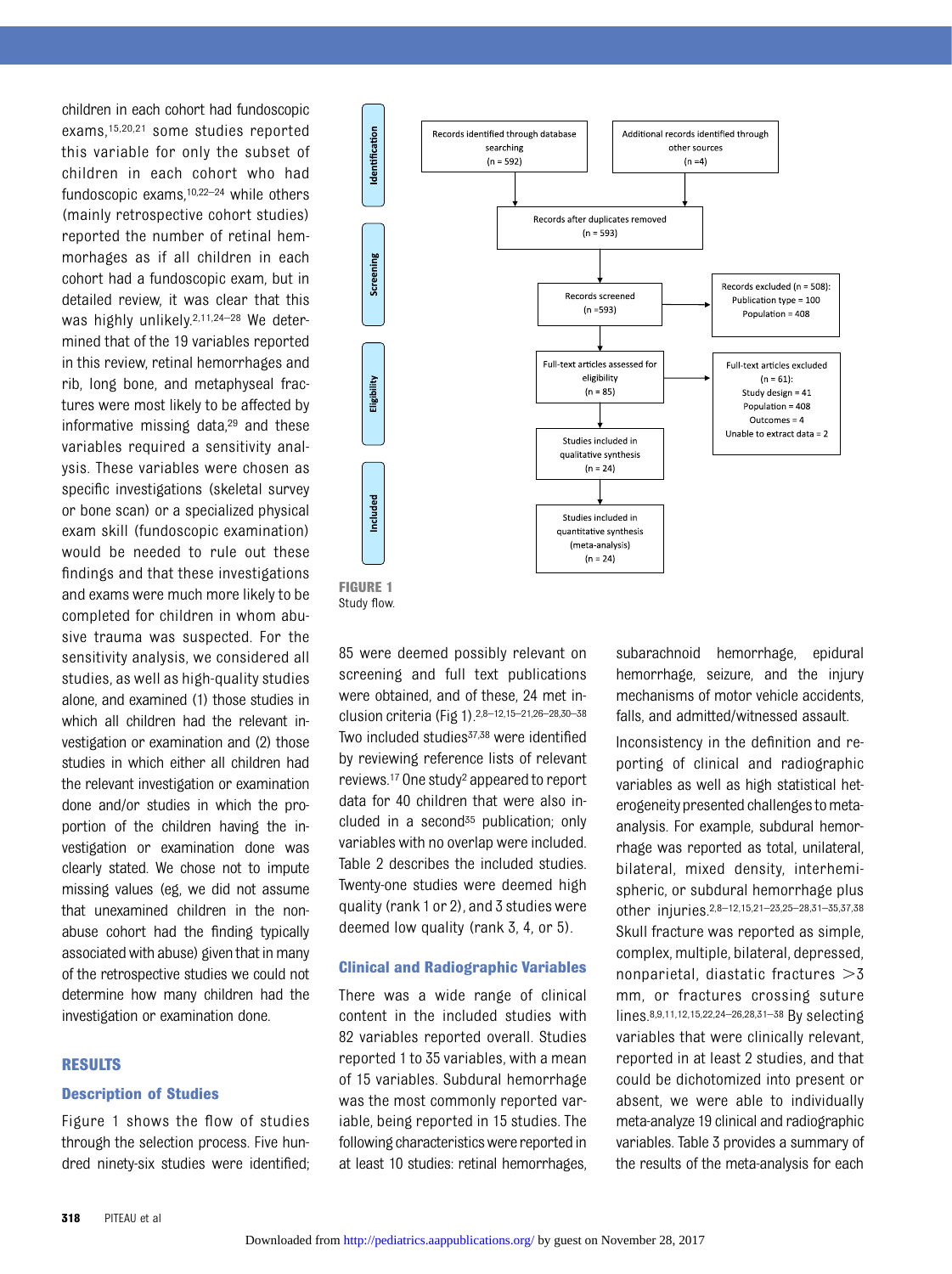children in each cohort had fundoscopic exams,15,20,21 some studies reported this variable for only the subset of children in each cohort who had fundoscopic exams,10,22–<sup>24</sup> while others (mainly retrospective cohort studies) reported the number of retinal hemmorhages as if all children in each cohort had a fundoscopic exam, but in detailed review, it was clear that this was highly unlikely.<sup>2,11,24-28</sup> We determined that of the 19 variables reported in this review, retinal hemorrhages and rib, long bone, and metaphyseal fractures were most likely to be affected by informative missing data, $29$  and these variables required a sensitivity analysis. These variables were chosen as specific investigations (skeletal survey or bone scan) or a specialized physical exam skill (fundoscopic examination) would be needed to rule out these findings and that these investigations and exams were much more likely to be completed for children in whom abusive trauma was suspected. For the sensitivity analysis, we considered all studies, as well as high-quality studies alone, and examined (1) those studies in which all children had the relevant investigation or examination and (2) those studies in which either all children had the relevant investigation or examination done and/or studies in which the proportion of the children having the investigation or examination done was clearly stated. We chose not to impute missing values (eg, we did not assume that unexamined children in the nonabuse cohort had the finding typically associated with abuse) given that in many of the retrospective studies we could not determine how many children had the investigation or examination done.

#### RESULTS

#### Description of Studies

Figure 1 shows the flow of studies through the selection process. Five hundred ninety-six studies were identified;





85 were deemed possibly relevant on screening and full text publications were obtained, and of these, 24 met inclusion criteria (Fig 1).2,8–12,15–21,26–28,30–<sup>38</sup> Two included studies<sup>37,38</sup> were identified by reviewing reference lists of relevant reviews.17 One study2 appeared to report data for 40 children that were also included in a second $35$  publication; only variables with no overlap were included. Table 2 describes the included studies. Twenty-one studies were deemed high quality (rank 1 or 2), and 3 studies were deemed low quality (rank 3, 4, or 5).

#### Clinical and Radiographic Variables

There was a wide range of clinical content in the included studies with 82 variables reported overall. Studies reported 1 to 35 variables, with a mean of 15 variables. Subdural hemorrhage was the most commonly reported variable, being reported in 15 studies. The following characteristics were reported in at least 10 studies: retinal hemorrhages, subarachnoid hemorrhage, epidural hemorrhage, seizure, and the injury mechanisms of motor vehicle accidents, falls, and admitted/witnessed assault.

Inconsistency in the definition and reporting of clinical and radiographic variables as well as high statistical heterogeneity presented challenges to metaanalysis. For example, subdural hemorrhage was reported as total, unilateral, bilateral, mixed density, interhemispheric, or subdural hemorrhage plus other injuries.2,8–12,15,21–23,25–28,31–35,37,38 Skull fracture was reported as simple, complex, multiple, bilateral, depressed, nonparietal, diastatic fractures  $>3$ mm, or fractures crossing suture lines.8,9,11,12,15,22,24–26,28,31–<sup>38</sup> By selecting variables that were clinically relevant, reported in at least 2 studies, and that could be dichotomized into present or absent, we were able to individually meta-analyze 19 clinical and radiographic variables. Table 3 provides a summary of the results of the meta-analysis for each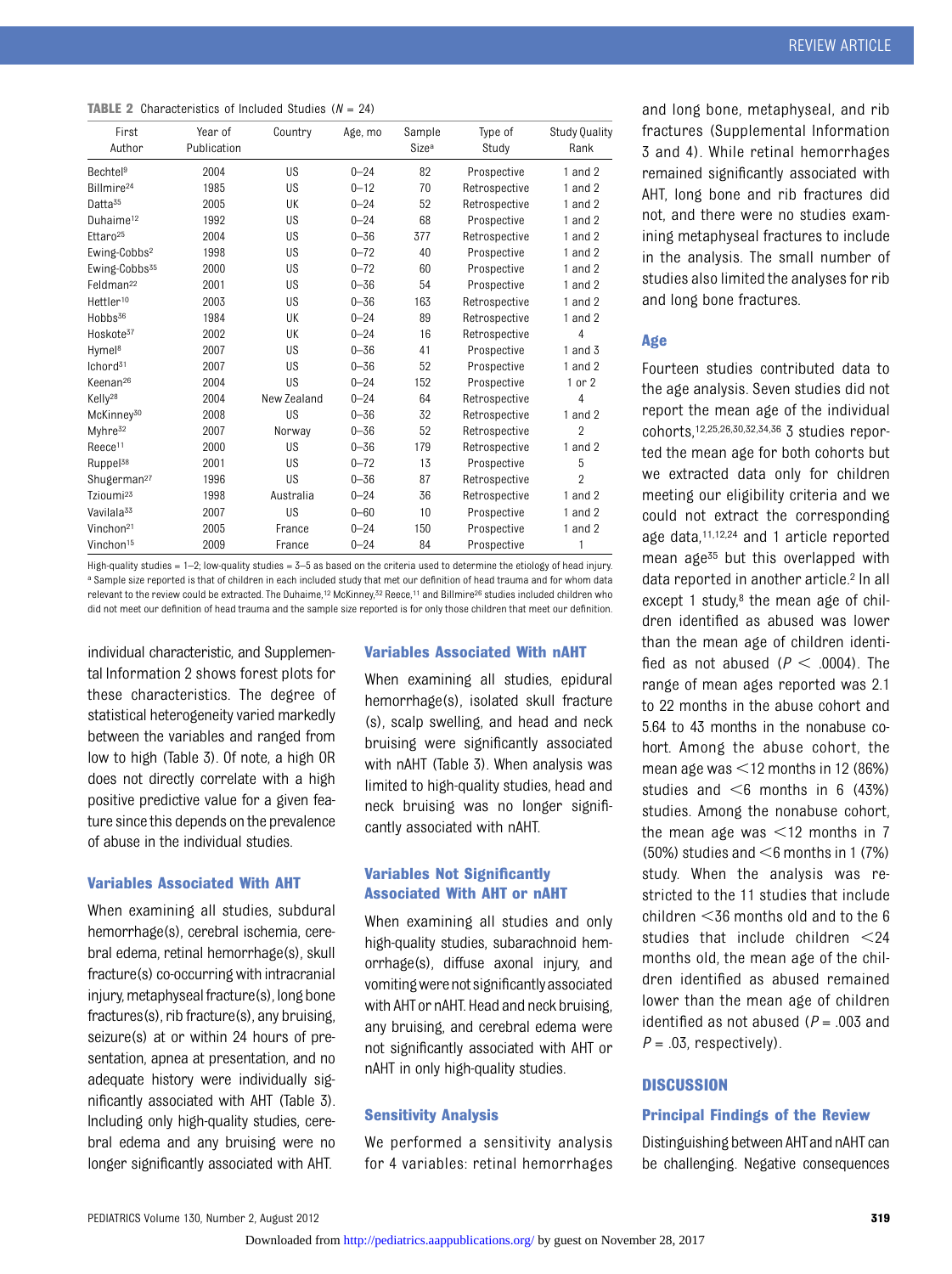|  | <b>TABLE 2</b> Characteristics of Included Studies ( $N = 24$ ) |  |  |  |  |
|--|-----------------------------------------------------------------|--|--|--|--|
|--|-----------------------------------------------------------------|--|--|--|--|

| First<br>Author           | Year of<br>Publication | Country     | Age, mo  | Sample<br>Size <sup>a</sup> | Type of<br>Study | Study Quality<br>Rank |
|---------------------------|------------------------|-------------|----------|-----------------------------|------------------|-----------------------|
| Bechtel <sup>9</sup>      | 2004                   | <b>US</b>   | $0 - 24$ | 82                          | Prospective      | 1 and $2$             |
| Billmire <sup>24</sup>    | 1985                   | <b>US</b>   | $0 - 12$ | 70                          | Retrospective    | $1$ and $2$           |
| Datta <sup>35</sup>       | 2005                   | UK          | $0 - 24$ | 52                          | Retrospective    | $1$ and $2$           |
| Duhaime <sup>12</sup>     | 1992                   | <b>US</b>   | $0 - 24$ | 68                          | Prospective      | $1$ and $2$           |
| Ettaro <sup>25</sup>      | 2004                   | <b>US</b>   | $0 - 36$ | 377                         | Retrospective    | $1$ and $2$           |
| Ewing-Cobbs <sup>2</sup>  | 1998                   | US          | $0 - 72$ | 40                          | Prospective      | $1$ and $2$           |
| Ewing-Cobbs <sup>35</sup> | 2000                   | <b>US</b>   | $0 - 72$ | 60                          | Prospective      | 1 and $2$             |
| Feldman <sup>22</sup>     | 2001                   | <b>US</b>   | $0 - 36$ | 54                          | Prospective      | $1$ and $2$           |
| Hettler <sup>10</sup>     | 2003                   | <b>US</b>   | $0 - 36$ | 163                         | Retrospective    | $1$ and $2$           |
| $H$ obbs $36$             | 1984                   | UK          | $0 - 24$ | 89                          | Retrospective    | $1$ and $2$           |
| Hoskote <sup>37</sup>     | 2002                   | UK          | $0 - 24$ | 16                          | Retrospective    | $\overline{4}$        |
| Hymel <sup>8</sup>        | 2007                   | <b>US</b>   | $0 - 36$ | 41                          | Prospective      | 1 and $3$             |
| Ichord <sup>31</sup>      | 2007                   | <b>US</b>   | $0 - 36$ | 52                          | Prospective      | $1$ and $2$           |
| Keenan <sup>26</sup>      | 2004                   | <b>US</b>   | $0 - 24$ | 152                         | Prospective      | $1$ or $2$            |
| Kelly <sup>28</sup>       | 2004                   | New Zealand | $0 - 24$ | 64                          | Retrospective    | $\overline{4}$        |
| McKinney <sup>30</sup>    | 2008                   | <b>US</b>   | $0 - 36$ | 32                          | Retrospective    | $1$ and $2$           |
| Myhre <sup>32</sup>       | 2007                   | Norway      | $0 - 36$ | 52                          | Retrospective    | $\overline{2}$        |
| Reece <sup>11</sup>       | 2000                   | US          | $0 - 36$ | 179                         | Retrospective    | 1 and $2$             |
| Ruppel <sup>38</sup>      | 2001                   | <b>US</b>   | $0 - 72$ | 13                          | Prospective      | 5                     |
| Shugerman <sup>27</sup>   | 1996                   | <b>US</b>   | $0 - 36$ | 87                          | Retrospective    | $\overline{2}$        |
| Tzioumi <sup>23</sup>     | 1998                   | Australia   | $0 - 24$ | 36                          | Retrospective    | $1$ and $2$           |
| Vavilala <sup>33</sup>    | 2007                   | <b>US</b>   | $0 - 60$ | 10                          | Prospective      | $1$ and $2$           |
| Vinchon <sup>21</sup>     | 2005                   | France      | $0 - 24$ | 150                         | Prospective      | 1 and $2$             |
| Vinchon <sup>15</sup>     | 2009                   | France      | $0 - 24$ | 84                          | Prospective      | 1                     |

High-quality studies = 1–2; low-quality studies = 3–5 as based on the criteria used to determine the etiology of head injury. a Sample size reported is that of children in each included study that met our definition of head trauma and for whom data relevant to the review could be extracted. The Duhaime,12 McKinney,32 Reece,11 and Billmire26 studies included children who did not meet our definition of head trauma and the sample size reported is for only those children that meet our definition.

individual characteristic, and [Supplemen](http://pediatrics.aappublications.org/lookup/suppl/doi:10.1542/peds.2011-1545/-/DCSupplemental)[tal Information 2](http://pediatrics.aappublications.org/lookup/suppl/doi:10.1542/peds.2011-1545/-/DCSupplemental) shows forest plots for these characteristics. The degree of statistical heterogeneity varied markedly between the variables and ranged from low to high (Table 3). Of note, a high OR does not directly correlate with a high positive predictive value for a given feature since this depends on the prevalence of abuse in the individual studies.

#### Variables Associated With AHT

When examining all studies, subdural hemorrhage(s), cerebral ischemia, cerebral edema, retinal hemorrhage(s), skull fracture(s) co-occurring with intracranial injury, metaphyseal fracture(s), long bone fractures(s), rib fracture(s), any bruising, seizure(s) at or within 24 hours of presentation, apnea at presentation, and no adequate history were individually significantly associated with AHT (Table 3). Including only high-quality studies, cerebral edema and any bruising were no longer significantly associated with AHT.

#### Variables Associated With nAHT

When examining all studies, epidural hemorrhage(s), isolated skull fracture (s), scalp swelling, and head and neck bruising were significantly associated with nAHT (Table 3). When analysis was limited to high-quality studies, head and neck bruising was no longer significantly associated with nAHT.

#### Variables Not Significantly Associated With AHT or nAHT

When examining all studies and only high-quality studies, subarachnoid hemorrhage(s), diffuse axonal injury, and vomitingwerenotsignificantlyassociated with AHTor nAHT. Head and neck bruising, any bruising, and cerebral edema were not significantly associated with AHT or nAHT in only high-quality studies.

#### Sensitivity Analysis

We performed a sensitivity analysis for 4 variables: retinal hemorrhages and long bone, metaphyseal, and rib fractures [\(Supplemental Information](http://pediatrics.aappublications.org/lookup/suppl/doi:10.1542/peds.2011-1545/-/DCSupplemental) [3 and 4](http://pediatrics.aappublications.org/lookup/suppl/doi:10.1542/peds.2011-1545/-/DCSupplemental)). While retinal hemorrhages remained significantly associated with AHT, long bone and rib fractures did not, and there were no studies examining metaphyseal fractures to include in the analysis. The small number of studies also limited the analyses for rib and long bone fractures.

#### Age

Fourteen studies contributed data to the age analysis. Seven studies did not report the mean age of the individual cohorts,12,25,26,30,32,34,36 3 studies reported the mean age for both cohorts but we extracted data only for children meeting our eligibility criteria and we could not extract the corresponding age data,11,12,24 and 1 article reported mean age<sup>35</sup> but this overlapped with data reported in another article.2 In all except 1 study, $8$  the mean age of children identified as abused was lower than the mean age of children identified as not abused ( $P < .0004$ ). The range of mean ages reported was 2.1 to 22 months in the abuse cohort and 5.64 to 43 months in the nonabuse cohort. Among the abuse cohort, the mean age was  $\leq$ 12 months in 12 (86%) studies and  $<$ 6 months in 6 (43%) studies. Among the nonabuse cohort, the mean age was  $\leq$ 12 months in 7 (50%) studies and  $<$ 6 months in 1 (7%) study. When the analysis was restricted to the 11 studies that include children  $<$ 36 months old and to the 6 studies that include children  $\leq 24$ months old, the mean age of the children identified as abused remained lower than the mean age of children identified as not abused ( $P = .003$  and  $P = .03$ , respectively).

#### **DISCUSSION**

#### Principal Findings of the Review

Distinguishing between AHTand nAHT can be challenging. Negative consequences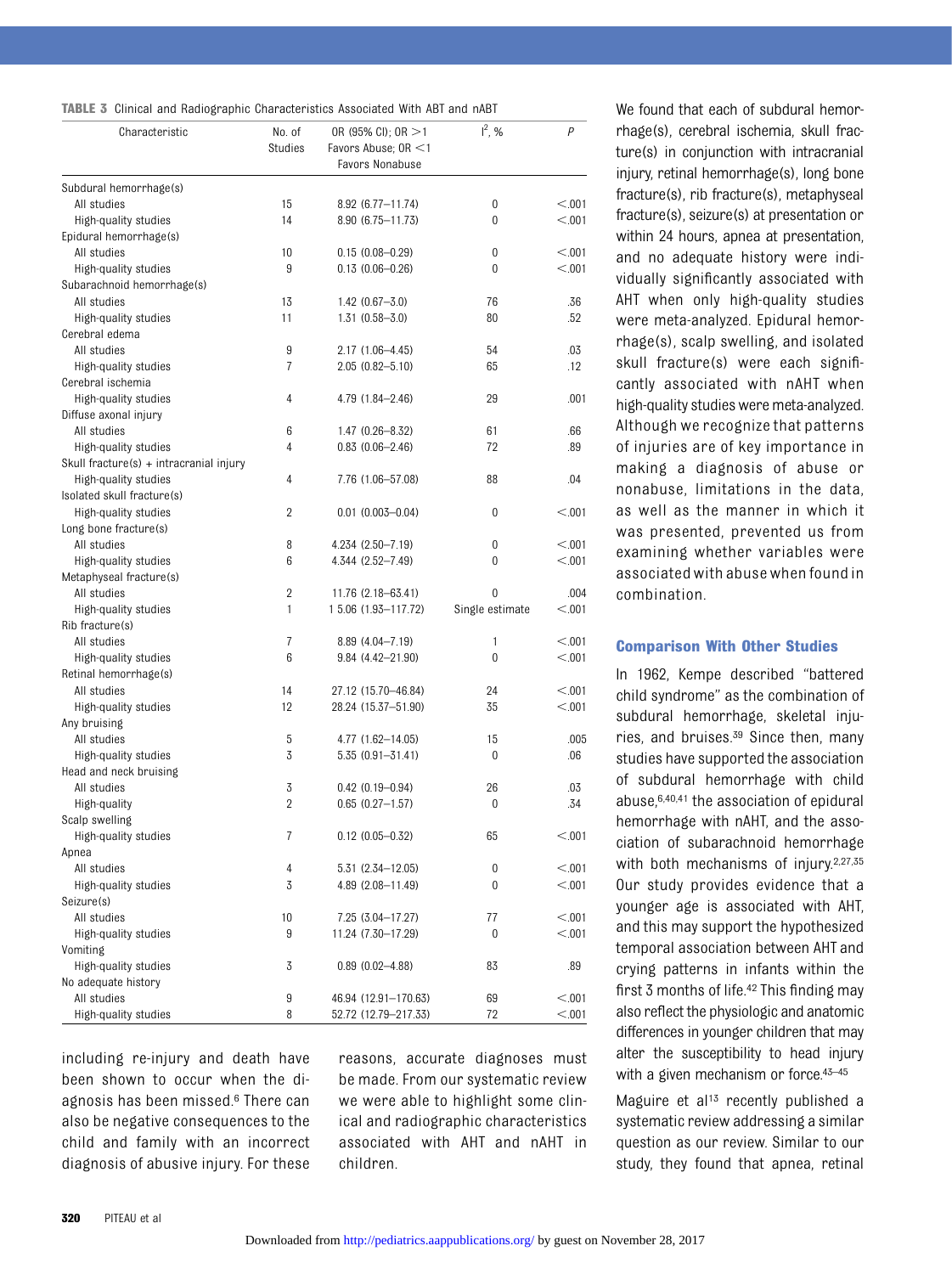|  |  | <b>TABLE 3</b> Clinical and Radiographic Characteristics Associated With ABT and nABT |  |  |  |
|--|--|---------------------------------------------------------------------------------------|--|--|--|
|  |  |                                                                                       |  |  |  |

| Characteristic                          | No. of         | OR (95% CI); OR $>1$                         | $I^2$ , %       | P       |
|-----------------------------------------|----------------|----------------------------------------------|-----------------|---------|
|                                         | <b>Studies</b> | Favors Abuse; OR <1                          |                 |         |
|                                         |                | Favors Nonabuse                              |                 |         |
| Subdural hemorrhage(s)                  |                |                                              |                 |         |
| All studies                             | 15             | $8.92(6.77 - 11.74)$                         | 0               | < 0.01  |
| High-quality studies                    | 14             | 8.90 (6.75 - 11.73)                          | $\mathbf{0}$    | < 0.01  |
| Epidural hemorrhage(s)                  |                |                                              |                 |         |
| All studies                             | 10             | $0.15(0.08 - 0.29)$                          | 0               | < 0.01  |
| High-quality studies                    | 9              | $0.13(0.06 - 0.26)$                          | $\Omega$        | < 0.01  |
| Subarachnoid hemorrhage(s)              |                |                                              |                 |         |
| All studies                             | 13             | $1.42(0.67 - 3.0)$                           | 76              | .36     |
| High-quality studies                    | 11             | $1.31(0.58 - 3.0)$                           | 80              | .52     |
| Cerebral edema                          |                |                                              |                 |         |
|                                         |                |                                              |                 |         |
| All studies                             | 9              | 2.17 (1.06-4.45)                             | 54              | .03     |
| High-quality studies                    | 7              | $2.05(0.82 - 5.10)$                          | 65              | .12     |
| Cerebral ischemia                       |                |                                              |                 |         |
| High-quality studies                    | 4              | 4.79 (1.84-2.46)                             | 29              | .001    |
| Diffuse axonal injury                   |                |                                              |                 |         |
| All studies                             | 6              | $1.47(0.26 - 8.32)$                          | 61              | .66     |
| High-quality studies                    | 4              | $0.83$ $(0.06 - 2.46)$                       | 72              | .89     |
| Skull fracture(s) + intracranial injury |                |                                              |                 |         |
| High-quality studies                    | 4              | 7.76 (1.06-57.08)                            | 88              | .04     |
| Isolated skull fracture(s)              |                |                                              |                 |         |
| High-quality studies                    | 2              | $0.01$ $(0.003 - 0.04)$                      | 0               | < 0.001 |
| Long bone fracture(s)                   |                |                                              |                 |         |
| All studies                             | 8              | 4.234 (2.50-7.19)                            | 0               | < 0.001 |
| High-quality studies                    | 6              | 4.344 (2.52-7.49)                            | $\mathbf{0}$    | < 0.01  |
| Metaphyseal fracture(s)                 |                |                                              |                 |         |
| All studies                             | 2              | 11.76 (2.18-63.41)                           | 0               | .004    |
| High-quality studies                    | $\mathbf{1}$   | 1 5.06 (1.93-117.72)                         | Single estimate | < 0.001 |
| Rib fracture(s)                         |                |                                              |                 |         |
| All studies                             | 7              | 8.89 (4.04-7.19)                             | 1               | < 0.001 |
| High-quality studies                    | 6              | $9.84(4.42 - 21.90)$                         | $\mathbf{0}$    | < 0.01  |
| Retinal hemorrhage(s)                   |                |                                              |                 |         |
| All studies                             | 14             | 27.12 (15.70-46.84)                          | 24              | < 0.001 |
| High-quality studies                    | 12             | 28.24 (15.37-51.90)                          | 35              | < 0.001 |
| Any bruising                            |                |                                              |                 |         |
| All studies                             | 5              | 4.77 (1.62-14.05)                            | 15              | .005    |
| High-quality studies                    | 3              | $5.35(0.91 - 31.41)$                         | 0               | .06     |
| Head and neck bruising                  |                |                                              |                 |         |
| All studies                             | 3              | $0.42$ $(0.19 - 0.94)$                       | 26              | .03     |
| High-quality                            | $\overline{2}$ | $0.65$ $(0.27 - 1.57)$                       | 0               | .34     |
| Scalp swelling                          |                |                                              |                 |         |
| High-quality studies                    | 7              | $0.12$ $(0.05 - 0.32)$                       | 65              | < 0.001 |
| Apnea                                   |                |                                              |                 |         |
| All studies                             | 4              | 5.31 (2.34-12.05)                            | 0               | < 0.001 |
| High-quality studies                    | 3              | 4.89 (2.08-11.49)                            | 0               | < 0.001 |
| Seizure(s)                              |                |                                              |                 |         |
| All studies                             | 10             | 7.25 (3.04-17.27)                            | 77              | < 0.001 |
| High-quality studies                    | 9              | 11.24 (7.30-17.29)                           | 0               | < 0.001 |
| Vomiting                                |                |                                              |                 |         |
| High-quality studies                    | 3              | $0.89$ $(0.02 - 4.88)$                       | 83              | .89     |
| No adequate history                     |                |                                              |                 |         |
| All studies                             | 9              |                                              | 69              | < 0.001 |
| High-quality studies                    | 8              | 46.94 (12.91-170.63)<br>52.72 (12.79-217.33) | 72              | < 0.001 |
|                                         |                |                                              |                 |         |

including re-injury and death have been shown to occur when the diagnosis has been missed.6 There can also be negative consequences to the child and family with an incorrect diagnosis of abusive injury. For these

reasons, accurate diagnoses must be made. From our systematic review we were able to highlight some clinical and radiographic characteristics associated with AHT and nAHT in children.

We found that each of subdural hemorrhage(s), cerebral ischemia, skull fracture(s) in conjunction with intracranial injury, retinal hemorrhage(s), long bone fracture(s), rib fracture(s), metaphyseal fracture(s), seizure(s) at presentation or within 24 hours, apnea at presentation, and no adequate history were individually significantly associated with AHT when only high-quality studies were meta-analyzed. Epidural hemorrhage(s), scalp swelling, and isolated skull fracture(s) were each significantly associated with nAHT when high-quality studies were meta-analyzed. Although we recognize that patterns of injuries are of key importance in making a diagnosis of abuse or nonabuse, limitations in the data, as well as the manner in which it was presented, prevented us from examining whether variables were associatedwith abusewhenfound in combination.

#### Comparison With Other Studies

In 1962, Kempe described "battered child syndrome" as the combination of subdural hemorrhage, skeletal injuries, and bruises.39 Since then, many studies have supported the association of subdural hemorrhage with child abuse,6,40,41 the association of epidural hemorrhage with nAHT, and the association of subarachnoid hemorrhage with both mechanisms of injury.<sup>2,27,35</sup> Our study provides evidence that a younger age is associated with AHT, and this may support the hypothesized temporal association between AHT and crying patterns in infants within the first 3 months of life.42 This finding may also reflect the physiologic and anatomic differences in younger children that may alter the susceptibility to head injury with a given mechanism or force.<sup>43-45</sup>

Maguire et al<sup>13</sup> recently published a systematic review addressing a similar question as our review. Similar to our study, they found that apnea, retinal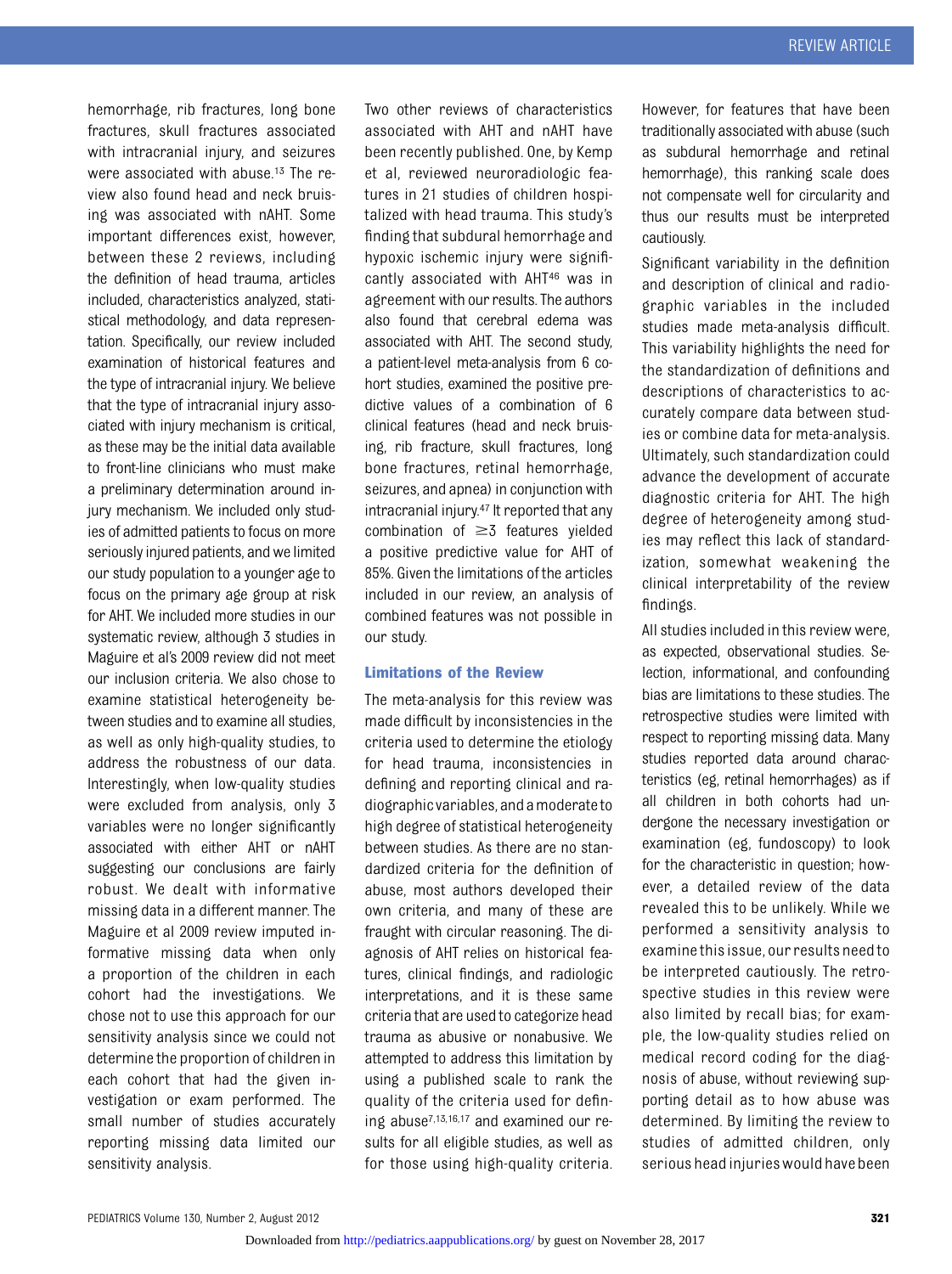hemorrhage, rib fractures, long bone fractures, skull fractures associated with intracranial injury, and seizures were associated with abuse.13 The review also found head and neck bruising was associated with nAHT. Some important differences exist, however, between these 2 reviews, including the definition of head trauma, articles included, characteristics analyzed, statistical methodology, and data representation. Specifically, our review included examination of historical features and the type of intracranial injury. We believe that the type of intracranial injury associated with injury mechanism is critical, as these may be the initial data available to front-line clinicians who must make a preliminary determination around injury mechanism. We included only studies of admitted patients to focus on more seriously injured patients, and we limited our study population to a younger age to focus on the primary age group at risk for AHT. We included more studies in our systematic review, although 3 studies in Maguire et al's 2009 review did not meet our inclusion criteria. We also chose to examine statistical heterogeneity between studies and to examine all studies, as well as only high-quality studies, to address the robustness of our data. Interestingly, when low-quality studies were excluded from analysis, only 3 variables were no longer significantly associated with either AHT or nAHT suggesting our conclusions are fairly robust. We dealt with informative missing data in a different manner. The Maguire et al 2009 review imputed informative missing data when only a proportion of the children in each cohort had the investigations. We chose not to use this approach for our sensitivity analysis since we could not determine the proportion of children in each cohort that had the given investigation or exam performed. The small number of studies accurately reporting missing data limited our sensitivity analysis.

Two other reviews of characteristics associated with AHT and nAHT have been recently published. One, by Kemp et al, reviewed neuroradiologic features in 21 studies of children hospitalized with head trauma. This study's finding that subdural hemorrhage and hypoxic ischemic injury were significantly associated with AHT46 was in agreement with our results. The authors also found that cerebral edema was associated with AHT. The second study, a patient-level meta-analysis from 6 cohort studies, examined the positive predictive values of a combination of 6 clinical features (head and neck bruising, rib fracture, skull fractures, long bone fractures, retinal hemorrhage, seizures, and apnea) in conjunction with intracranial injury.47 It reported that any combination of  $\geq$ 3 features yielded a positive predictive value for AHT of 85%. Given the limitations of the articles included in our review, an analysis of combined features was not possible in our study.

#### Limitations of the Review

The meta-analysis for this review was made difficult by inconsistencies in the criteria used to determine the etiology for head trauma, inconsistencies in defining and reporting clinical and radiographic variables, and a moderateto high degree of statistical heterogeneity between studies. As there are no standardized criteria for the definition of abuse, most authors developed their own criteria, and many of these are fraught with circular reasoning. The diagnosis of AHT relies on historical features, clinical findings, and radiologic interpretations, and it is these same criteria that are used to categorize head trauma as abusive or nonabusive. We attempted to address this limitation by using a published scale to rank the quality of the criteria used for defining abuse7,13,16,17 and examined our results for all eligible studies, as well as for those using high-quality criteria.

However, for features that have been traditionally associated with abuse (such as subdural hemorrhage and retinal hemorrhage), this ranking scale does not compensate well for circularity and thus our results must be interpreted cautiously.

Significant variability in the definition and description of clinical and radiographic variables in the included studies made meta-analysis difficult. This variability highlights the need for the standardization of definitions and descriptions of characteristics to accurately compare data between studies or combine data for meta-analysis. Ultimately, such standardization could advance the development of accurate diagnostic criteria for AHT. The high degree of heterogeneity among studies may reflect this lack of standardization, somewhat weakening the clinical interpretability of the review findings.

All studies included in this review were, as expected, observational studies. Selection, informational, and confounding bias are limitations to these studies. The retrospective studies were limited with respect to reporting missing data. Many studies reported data around characteristics (eg, retinal hemorrhages) as if all children in both cohorts had undergone the necessary investigation or examination (eg, fundoscopy) to look for the characteristic in question; however, a detailed review of the data revealed this to be unlikely. While we performed a sensitivity analysis to examinethis issue, our results needto be interpreted cautiously. The retrospective studies in this review were also limited by recall bias; for example, the low-quality studies relied on medical record coding for the diagnosis of abuse, without reviewing supporting detail as to how abuse was determined. By limiting the review to studies of admitted children, only serious head injurieswould have been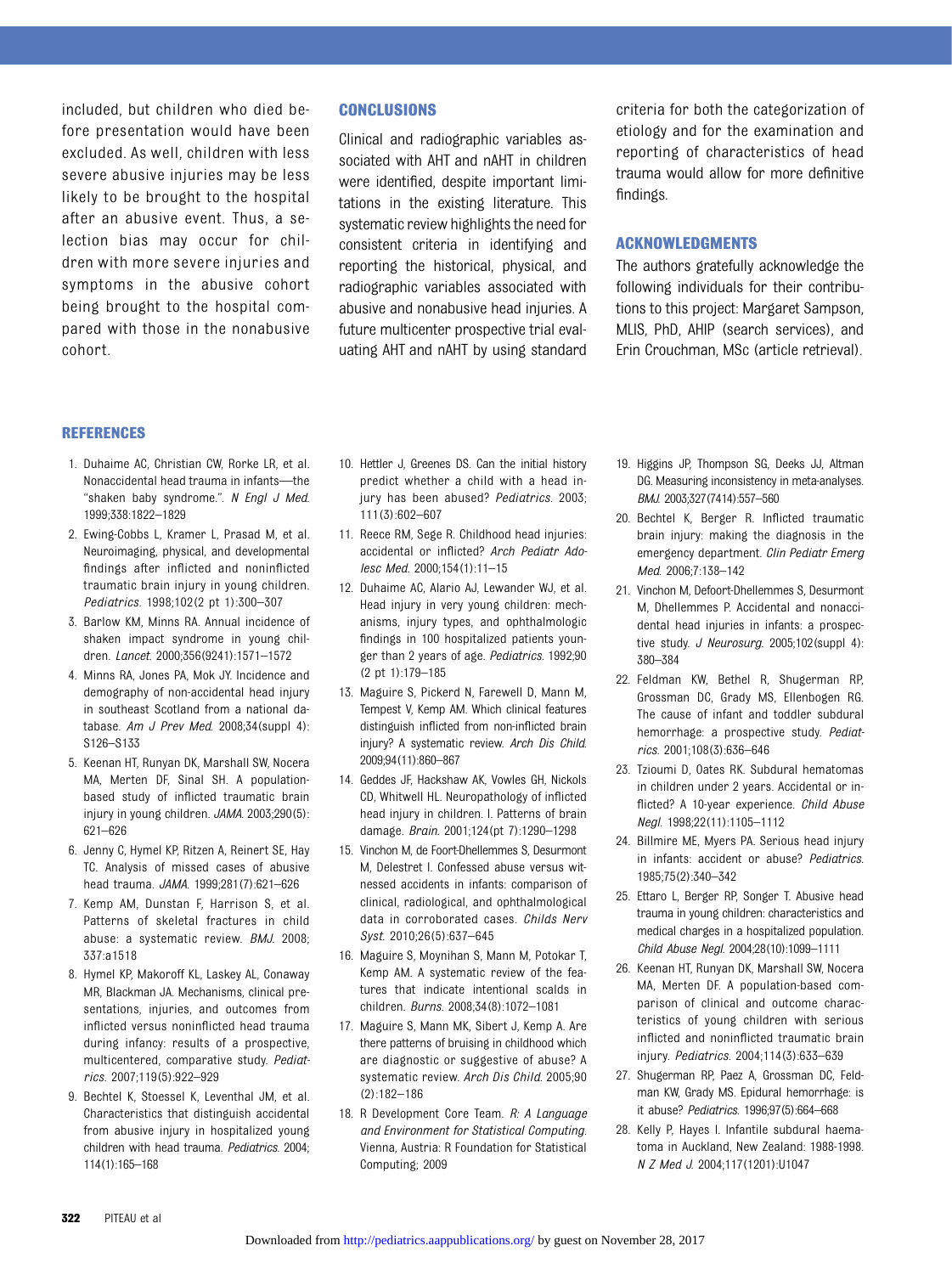included, but children who died before presentation would have been excluded. As well, children with less severe abusive injuries may be less likely to be brought to the hospital after an abusive event. Thus, a selection bias may occur for children with more severe injuries and symptoms in the abusive cohort being brought to the hospital compared with those in the nonabusive cohort.

#### CONCLUSIONS

Clinical and radiographic variables associated with AHT and nAHT in children were identified, despite important limitations in the existing literature. This systematic review highlights the need for consistent criteria in identifying and reporting the historical, physical, and radiographic variables associated with abusive and nonabusive head injuries. A future multicenter prospective trial evaluating AHT and nAHT by using standard criteria for both the categorization of etiology and for the examination and reporting of characteristics of head trauma would allow for more definitive findings.

#### ACKNOWLEDGMENTS

The authors gratefully acknowledge the following individuals for their contributions to this project: Margaret Sampson, MLIS, PhD, AHIP (search services), and Erin Crouchman, MSc (article retrieval).

#### REFERENCES

- 1. Duhaime AC, Christian CW, Rorke LR, et al. Nonaccidental head trauma in infants—the "shaken baby syndrome.". N Engl J Med. 1999;338:1822–1829
- 2. Ewing-Cobbs L, Kramer L, Prasad M, et al. Neuroimaging, physical, and developmental findings after inflicted and noninflicted traumatic brain injury in young children. Pediatrics. 1998;102(2 pt 1):300–307
- 3. Barlow KM, Minns RA. Annual incidence of shaken impact syndrome in young children. Lancet. 2000;356(9241):1571–1572
- 4. Minns RA, Jones PA, Mok JY. Incidence and demography of non-accidental head injury in southeast Scotland from a national database. Am J Prev Med. 2008;34(suppl 4): S126–S133
- 5. Keenan HT, Runyan DK, Marshall SW, Nocera MA, Merten DF, Sinal SH. A populationbased study of inflicted traumatic brain injury in young children. JAMA. 2003;290(5): 621–626
- 6. Jenny C, Hymel KP, Ritzen A, Reinert SE, Hay TC. Analysis of missed cases of abusive head trauma. JAMA. 1999;281(7):621–626
- 7. Kemp AM, Dunstan F, Harrison S, et al. Patterns of skeletal fractures in child abuse: a systematic review. BMJ. 2008; 337:a1518
- 8. Hymel KP, Makoroff KL, Laskey AL, Conaway MR, Blackman JA. Mechanisms, clinical presentations, injuries, and outcomes from inflicted versus noninflicted head trauma during infancy: results of a prospective, multicentered, comparative study. Pediatrics. 2007;119(5):922–929
- 9. Bechtel K, Stoessel K, Leventhal JM, et al. Characteristics that distinguish accidental from abusive injury in hospitalized young children with head trauma. Pediatrics. 2004; 114(1):165–168
- 10. Hettler J, Greenes DS. Can the initial history predict whether a child with a head injury has been abused? Pediatrics. 2003; 111(3):602–607
- 11. Reece RM, Sege R. Childhood head injuries: accidental or inflicted? Arch Pediatr Adolesc Med. 2000;154(1):11–15
- 12. Duhaime AC, Alario AJ, Lewander WJ, et al. Head injury in very young children: mechanisms, injury types, and ophthalmologic findings in 100 hospitalized patients younger than 2 years of age. Pediatrics. 1992;90 (2 pt 1):179–185
- 13. Maguire S, Pickerd N, Farewell D, Mann M, Tempest V, Kemp AM. Which clinical features distinguish inflicted from non-inflicted brain injury? A systematic review. Arch Dis Child. 2009;94(11):860–867
- 14. Geddes JF, Hackshaw AK, Vowles GH, Nickols CD, Whitwell HL. Neuropathology of inflicted head injury in children. I. Patterns of brain damage. Brain. 2001;124(pt 7):1290–1298
- 15. Vinchon M, de Foort-Dhellemmes S, Desurmont M, Delestret I. Confessed abuse versus witnessed accidents in infants: comparison of clinical, radiological, and ophthalmological data in corroborated cases. Childs Nerv Syst. 2010;26(5):637–645
- 16. Maguire S, Moynihan S, Mann M, Potokar T, Kemp AM. A systematic review of the features that indicate intentional scalds in children. Burns. 2008;34(8):1072–1081
- 17. Maguire S, Mann MK, Sibert J, Kemp A. Are there patterns of bruising in childhood which are diagnostic or suggestive of abuse? A systematic review. Arch Dis Child. 2005;90 (2):182–186
- 18. R Development Core Team. R: A Language and Environment for Statistical Computing. Vienna, Austria: R Foundation for Statistical Computing; 2009
- 19. Higgins JP, Thompson SG, Deeks JJ, Altman DG. Measuring inconsistency in meta-analyses. BMJ. 2003;327(7414):557–560
- 20. Bechtel K, Berger R. Inflicted traumatic brain injury: making the diagnosis in the emergency department. Clin Pediatr Emerg Med. 2006;7:138–142
- 21. Vinchon M, Defoort-Dhellemmes S, Desurmont M, Dhellemmes P. Accidental and nonaccidental head injuries in infants: a prospective study. J Neurosurg. 2005;102(suppl 4): 380–384
- 22. Feldman KW, Bethel R, Shugerman RP, Grossman DC, Grady MS, Ellenbogen RG. The cause of infant and toddler subdural hemorrhage: a prospective study. Pediatrics. 2001;108(3):636–646
- 23. Tzioumi D, Oates RK. Subdural hematomas in children under 2 years. Accidental or inflicted? A 10-year experience. Child Abuse Negl. 1998;22(11):1105–1112
- 24. Billmire ME, Myers PA. Serious head injury in infants: accident or abuse? Pediatrics. 1985;75(2):340–342
- 25. Ettaro L, Berger RP, Songer T. Abusive head trauma in young children: characteristics and medical charges in a hospitalized population. Child Abuse Negl. 2004;28(10):1099–1111
- 26. Keenan HT, Runyan DK, Marshall SW, Nocera MA, Merten DF. A population-based comparison of clinical and outcome characteristics of young children with serious inflicted and noninflicted traumatic brain injury. Pediatrics. 2004;114(3):633–639
- 27. Shugerman RP, Paez A, Grossman DC, Feldman KW, Grady MS. Epidural hemorrhage: is it abuse? Pediatrics. 1996;97(5):664–668
- 28. Kelly P, Hayes I. Infantile subdural haematoma in Auckland, New Zealand: 1988-1998. N Z Med J. 2004;117(1201):U1047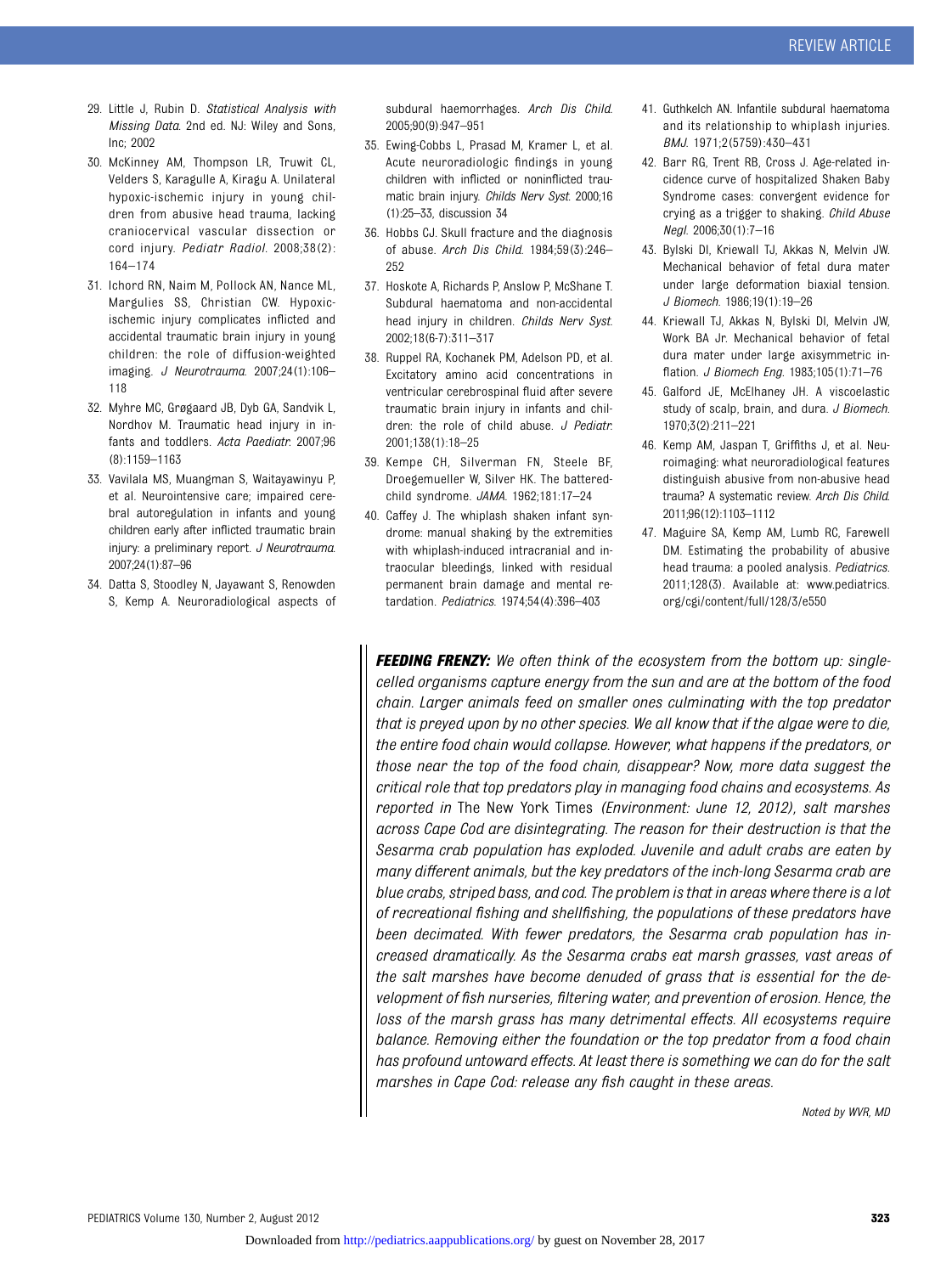- 29. Little J, Rubin D. Statistical Analysis with Missing Data. 2nd ed. NJ: Wiley and Sons, Inc; 2002
- 30. McKinney AM, Thompson LR, Truwit CL, Velders S, Karagulle A, Kiragu A. Unilateral hypoxic-ischemic injury in young children from abusive head trauma, lacking craniocervical vascular dissection or cord injury. Pediatr Radiol. 2008;38(2): 164–174
- 31. Ichord RN, Naim M, Pollock AN, Nance ML, Margulies SS, Christian CW. Hypoxicischemic injury complicates inflicted and accidental traumatic brain injury in young children: the role of diffusion-weighted imaging. J Neurotrauma. 2007;24(1):106– 118
- 32. Myhre MC, Grøgaard JB, Dyb GA, Sandvik L, Nordhov M. Traumatic head injury in infants and toddlers. Acta Paediatr. 2007;96 (8):1159–1163
- 33. Vavilala MS, Muangman S, Waitayawinyu P, et al. Neurointensive care; impaired cerebral autoregulation in infants and young children early after inflicted traumatic brain injury: a preliminary report. J Neurotrauma. 2007;24(1):87–96
- 34. Datta S, Stoodley N, Jayawant S, Renowden S, Kemp A. Neuroradiological aspects of

subdural haemorrhages. Arch Dis Child. 2005;90(9):947–951

- 35. Ewing-Cobbs L, Prasad M, Kramer L, et al. Acute neuroradiologic findings in young children with inflicted or noninflicted traumatic brain injury. Childs Nerv Syst. 2000;16 (1):25–33, discussion 34
- 36. Hobbs CJ. Skull fracture and the diagnosis of abuse. Arch Dis Child. 1984;59(3):246– 252
- 37. Hoskote A, Richards P, Anslow P, McShane T. Subdural haematoma and non-accidental head injury in children. Childs Nerv Syst. 2002;18(6-7):311–317
- 38. Ruppel RA, Kochanek PM, Adelson PD, et al. Excitatory amino acid concentrations in ventricular cerebrospinal fluid after severe traumatic brain injury in infants and children: the role of child abuse. J Pediatr. 2001;138(1):18–25
- 39. Kempe CH, Silverman FN, Steele BF, Droegemueller W, Silver HK. The batteredchild syndrome. JAMA. 1962;181:17–24
- 40. Caffey J. The whiplash shaken infant syndrome: manual shaking by the extremities with whiplash-induced intracranial and intraocular bleedings, linked with residual permanent brain damage and mental retardation. Pediatrics. 1974;54(4):396–403
- 41. Guthkelch AN. Infantile subdural haematoma and its relationship to whiplash injuries. BMJ. 1971;2(5759):430–431
- 42. Barr RG, Trent RB, Cross J. Age-related incidence curve of hospitalized Shaken Baby Syndrome cases: convergent evidence for crying as a trigger to shaking. Child Abuse Negl. 2006;30(1):7–16
- 43. Bylski DI, Kriewall TJ, Akkas N, Melvin JW. Mechanical behavior of fetal dura mater under large deformation biaxial tension. J Biomech. 1986;19(1):19–26
- 44. Kriewall TJ, Akkas N, Bylski DI, Melvin JW, Work BA Jr. Mechanical behavior of fetal dura mater under large axisymmetric inflation. J Biomech Eng. 1983;105(1):71–76
- 45. Galford JE, McElhaney JH. A viscoelastic study of scalp, brain, and dura. J Biomech. 1970;3(2):211–221
- 46. Kemp AM, Jaspan T, Griffiths J, et al. Neuroimaging: what neuroradiological features distinguish abusive from non-abusive head trauma? A systematic review. Arch Dis Child. 2011;96(12):1103–1112
- 47. Maguire SA, Kemp AM, Lumb RC, Farewell DM. Estimating the probability of abusive head trauma: a pooled analysis. Pediatrics. 2011;128(3). Available at: www.pediatrics. org/cgi/content/full/128/3/e550

FEEDING FRENZY: We often think of the ecosystem from the bottom up: singlecelled organisms capture energy from the sun and are at the bottom of the food chain. Larger animals feed on smaller ones culminating with the top predator that is preyed upon by no other species. We all know that if the algae were to die, the entire food chain would collapse. However, what happens if the predators, or those near the top of the food chain, disappear? Now, more data suggest the critical role that top predators play in managing food chains and ecosystems. As reported in The New York Times (Environment: June 12, 2012), salt marshes across Cape Cod are disintegrating. The reason for their destruction is that the Sesarma crab population has exploded. Juvenile and adult crabs are eaten by many different animals, but the key predators of the inch-long Sesarma crab are blue crabs, striped bass, and cod. The problem is that in areas where there is a lot of recreational fishing and shellfishing, the populations of these predators have been decimated. With fewer predators, the Sesarma crab population has increased dramatically. As the Sesarma crabs eat marsh grasses, vast areas of the salt marshes have become denuded of grass that is essential for the development of fish nurseries, filtering water, and prevention of erosion. Hence, the loss of the marsh grass has many detrimental effects. All ecosystems require balance. Removing either the foundation or the top predator from a food chain has profound untoward effects. At least there is something we can do for the salt marshes in Cape Cod: release any fish caught in these areas.

Noted by WVR, MD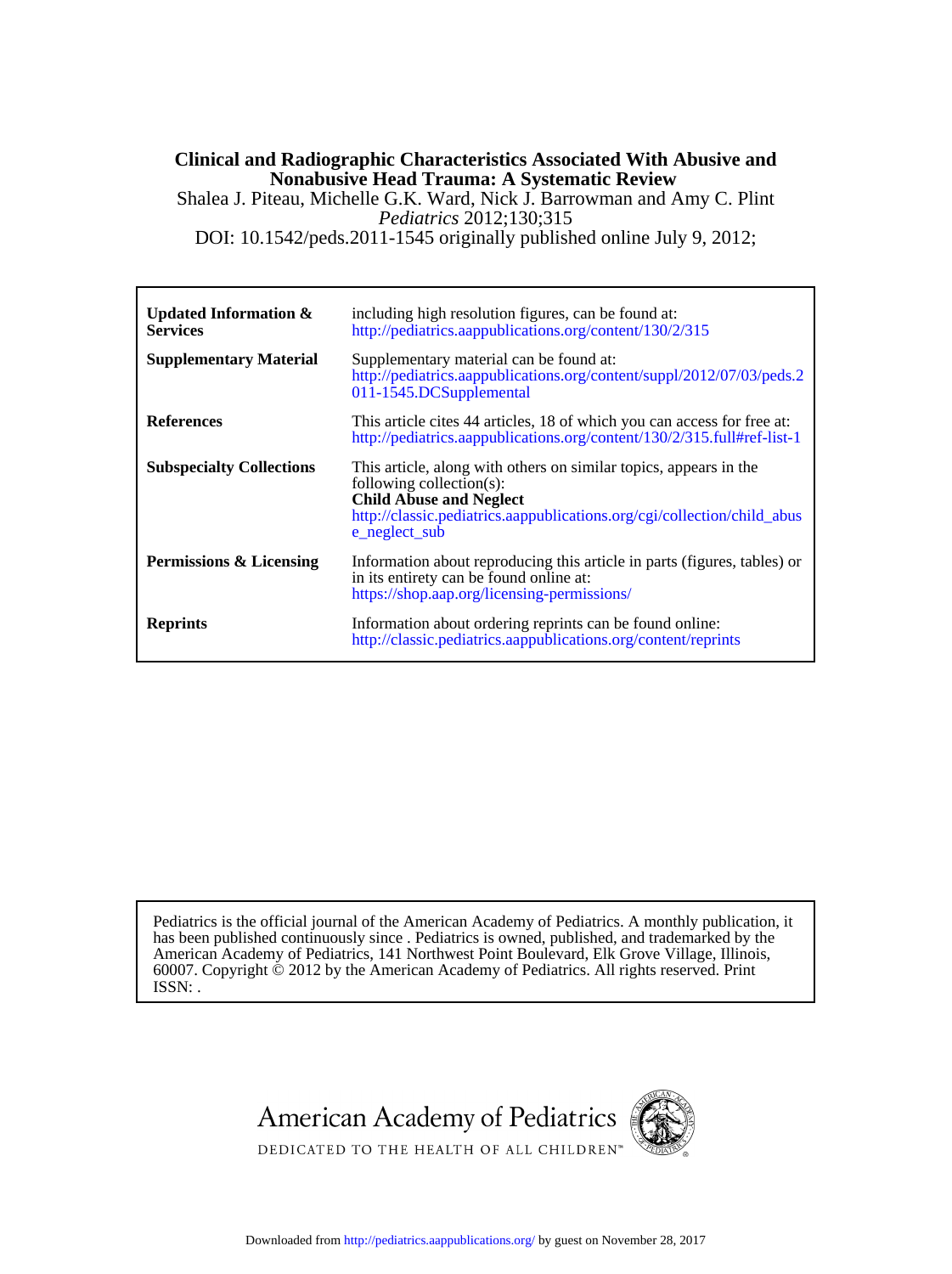#### **Nonabusive Head Trauma: A Systematic Review Clinical and Radiographic Characteristics Associated With Abusive and**

DOI: 10.1542/peds.2011-1545 originally published online July 9, 2012; *Pediatrics* 2012;130;315 Shalea J. Piteau, Michelle G.K. Ward, Nick J. Barrowman and Amy C. Plint

**Services Updated Information &** [http://pediatrics.aappublications.org/content/130/2/315](http://http://pediatrics.aappublications.org/content/130/2/315) including high resolution figures, can be found at: **Supplementary Material** [011-1545.DCSupplemental](http://pediatrics.aappublications.org/content/suppl/2012/07/03/peds.2011-1545.DCSupplemental) [http://pediatrics.aappublications.org/content/suppl/2012/07/03/peds.2](http://pediatrics.aappublications.org/content/suppl/2012/07/03/peds.2011-1545.DCSupplemental) Supplementary material can be found at: **References** <http://pediatrics.aappublications.org/content/130/2/315.full#ref-list-1> This article cites 44 articles, 18 of which you can access for free at: **Subspecialty Collections** [e\\_neglect\\_sub](http://classic.pediatrics.aappublications.org/cgi/collection/child_abuse_neglect_sub) [http://classic.pediatrics.aappublications.org/cgi/collection/child\\_abus](http://classic.pediatrics.aappublications.org/cgi/collection/child_abuse_neglect_sub) **Child Abuse and Neglect** following collection(s): This article, along with others on similar topics, appears in the **Permissions & Licensing** <https://shop.aap.org/licensing-permissions/> in its entirety can be found online at: Information about reproducing this article in parts (figures, tables) or **Reprints** <http://classic.pediatrics.aappublications.org/content/reprints> Information about ordering reprints can be found online:

ISSN: . 60007. Copyright © 2012 by the American Academy of Pediatrics. All rights reserved. Print American Academy of Pediatrics, 141 Northwest Point Boulevard, Elk Grove Village, Illinois, has been published continuously since . Pediatrics is owned, published, and trademarked by the Pediatrics is the official journal of the American Academy of Pediatrics. A monthly publication, it